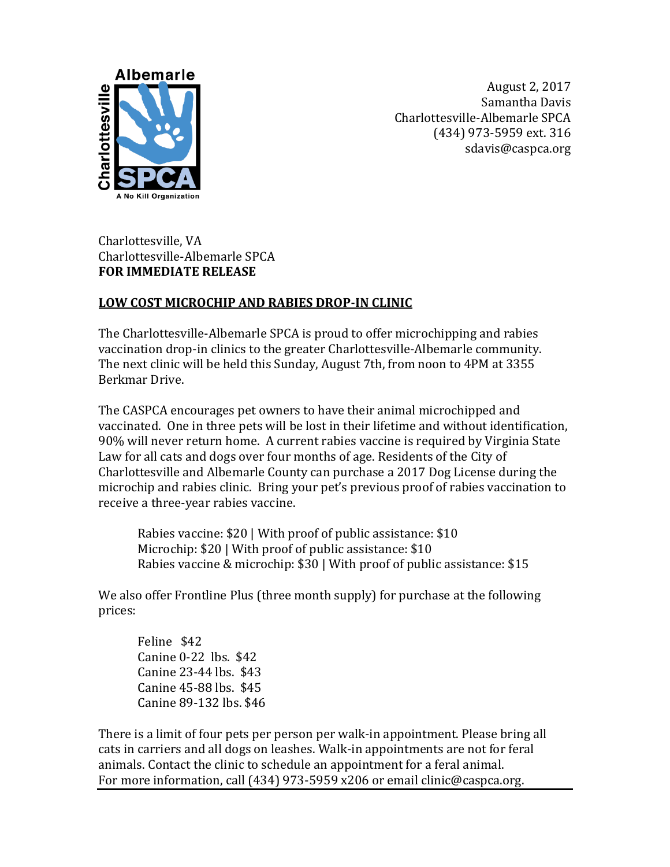

August 2, 2017 Samantha Davis Charlottesville-Albemarle SPCA (434) 973-5959 ext. 316 sdavis@caspca.org

Charlottesville, VA Charlottesville-Albemarle SPCA **FOR IMMEDIATE RELEASE** 

## **LOW COST MICROCHIP AND RABIES DROP-IN CLINIC**

The Charlottesville-Albemarle SPCA is proud to offer microchipping and rabies vaccination drop-in clinics to the greater Charlottesville-Albemarle community. The next clinic will be held this Sunday, August 7th, from noon to 4PM at 3355 Berkmar Drive.

The CASPCA encourages pet owners to have their animal microchipped and vaccinated. One in three pets will be lost in their lifetime and without identification, 90% will never return home. A current rabies vaccine is required by Virginia State Law for all cats and dogs over four months of age. Residents of the City of Charlottesville and Albemarle County can purchase a 2017 Dog License during the microchip and rabies clinic. Bring your pet's previous proof of rabies vaccination to receive a three-year rabies vaccine.

Rabies vaccine: \$20 | With proof of public assistance: \$10 Microchip: \$20 | With proof of public assistance: \$10 Rabies vaccine & microchip: \$30 | With proof of public assistance: \$15

We also offer Frontline Plus (three month supply) for purchase at the following prices:

Feline \$42 Canine 0-22 lbs. \$42 Canine 23-44 lbs. \$43 Canine 45-88 lbs. \$45 Canine 89-132 lbs. \$46

There is a limit of four pets per person per walk-in appointment. Please bring all cats in carriers and all dogs on leashes. Walk-in appointments are not for feral animals. Contact the clinic to schedule an appointment for a feral animal. For more information, call (434) 973-5959 x206 or email clinic@caspca.org.